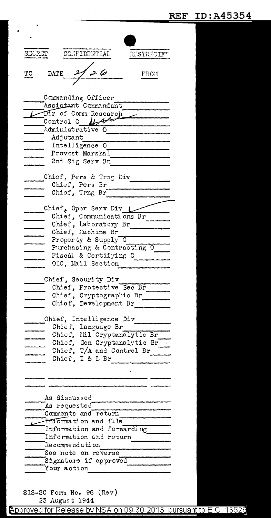| SDORET |                                      | CO.TPIDENTIAL                               | <b>ELSTRICTFT</b>                                                                       |
|--------|--------------------------------------|---------------------------------------------|-----------------------------------------------------------------------------------------|
|        |                                      |                                             |                                                                                         |
|        |                                      |                                             |                                                                                         |
| TO     | DATE                                 |                                             | FRO1                                                                                    |
|        |                                      |                                             |                                                                                         |
|        |                                      | Commanding Officer                          |                                                                                         |
|        |                                      | Assistant Commandant                        |                                                                                         |
|        |                                      | Dir of Comm Research                        |                                                                                         |
|        |                                      | Control 0 $\mu$ t                           |                                                                                         |
|        |                                      | Administrative O                            |                                                                                         |
|        | Adjutant                             |                                             |                                                                                         |
|        |                                      | Intelligence 0                              |                                                                                         |
|        |                                      | Provost Marshal                             |                                                                                         |
|        |                                      | 2nd Sig Serv Bn                             |                                                                                         |
|        |                                      |                                             |                                                                                         |
|        |                                      | Chief, Pers & Trng Div                      |                                                                                         |
|        |                                      | Chief, Pers Br                              |                                                                                         |
|        |                                      | Chief, Trng Br                              |                                                                                         |
|        |                                      | Chief, Oper Serv Div $\mathcal L$           |                                                                                         |
|        |                                      | Chief, Communications Br                    |                                                                                         |
|        |                                      | Chief, Laboratory Br                        |                                                                                         |
|        |                                      | Chief, Machine Br                           |                                                                                         |
|        |                                      | Property & Supply 0                         |                                                                                         |
|        |                                      |                                             | Purchasing & Contracting O                                                              |
|        |                                      | Fiscal & Certifying O                       |                                                                                         |
|        |                                      | OIC, Mail Section                           |                                                                                         |
|        |                                      |                                             |                                                                                         |
|        |                                      | Chief, Security Div                         |                                                                                         |
|        |                                      | Chief, Protective Sec Br                    |                                                                                         |
|        |                                      | Chief, Cryptographic Br                     |                                                                                         |
|        |                                      | Chief, Development Br                       |                                                                                         |
|        |                                      | Chief, Intelligence Div                     |                                                                                         |
|        |                                      | Chief, Language Br                          |                                                                                         |
|        |                                      |                                             | Chief, Hil Cryptanalytic Br<br>Chief, Gen Cryptanalytic Br<br>Chief, T/A and Control Br |
|        |                                      |                                             |                                                                                         |
|        |                                      |                                             |                                                                                         |
|        |                                      | Chief, I & L Br                             |                                                                                         |
|        |                                      |                                             |                                                                                         |
|        |                                      |                                             |                                                                                         |
|        |                                      |                                             |                                                                                         |
|        |                                      |                                             |                                                                                         |
|        | As discussed                         |                                             |                                                                                         |
|        | As requested                         |                                             |                                                                                         |
|        |                                      | Comments and return<br>Information and file |                                                                                         |
| L      |                                      | Information and forwarding                  |                                                                                         |
|        |                                      | Information and return                      |                                                                                         |
|        | Recommendation                       |                                             |                                                                                         |
|        |                                      | See note on reverse                         |                                                                                         |
|        |                                      |                                             |                                                                                         |
|        |                                      |                                             |                                                                                         |
|        | Signature if approved<br>Your action |                                             |                                                                                         |

 $\overline{a}$ 

 $\frac{20 \text{ cm}}{23 \text{ August}}$  1944 Approved for Release by NSA on 09-30-2013 pursuant to E.O. 13526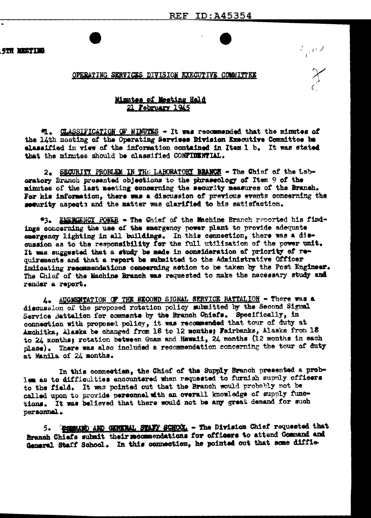**STR MASTIMA** 

OPERATING SERVICES DIVISION EXECUTIVE COMMITTEE

## Minutes of Meeting Held 21 February 1945

气。 CLASSIFICATION OF MINUTES - It was recommended that the minutes of the 14th meeting of the Operating Services Division Executive Committee be elassified in view of the information contained in Item 1 b. It was stated that the minutes should be classified CONFIDENTIAL.

2. SECURITY PROBLEM IN THE LABORATORY BRANCH - The Chief of the Laboratory Branch presented objections to the phraseology of Item 9 of the minutes of the last meeting concerning the security measures of the Branch. For his information, there was a discussion of previous events concerning the security aspects and the matter was clarified to his satisfaction.

\*3. EMERGENCY POWER - The Chief of the Machine Branch reported his findings concerning the use of the emergency power plant to provide adequate emergency lighting in all buildings. In this connection, there was a discussion as to the responsibility for the full utilization of the power unit. It was suggested that a study be made in consideration of priority of requirements and that a report be submitted to the Administrative Officer indicating recommendations concerning action to be taken by the Post Engineer. The Chief of the Machine Branch was requested to make the necessary study and render a report.

4. AUGMENTATION OF THE SECOND SIGNAL SERVICE BATTALION - There was a discussion of the proposed rotation policy submitted by the Second Signal Service Battalion for comments by the Branch Chiefs. Specifically, in connection with proposed policy, it was recommended that tour of duty at Amchitka, Alaska be changed from 18 to 12 months; Fairbanks, Alaska from 18 to 24 months; rotation between Guam and Hawaii, 24 months (12 months in each place). There was also included a recommendation concerning the tour of duty at Manila of 24 months.

In this connection, the Chief of the Supply Branch presented a problem as to difficulties encountered when requested to furnish supply officers to the field. It was pointed out that the Branch would probably not be called upon to provide personnel with an overall knowledge of supply functions. It was believed that there would not be any great demand for such personnel.

5. SCOMMAND AND GERERAL STATE SCHOOL - The Division Chief requested that Branch Chiefs submit their mecamendations for officers to attend Command and General Staff School. In this connection, he pointed out that some diffic-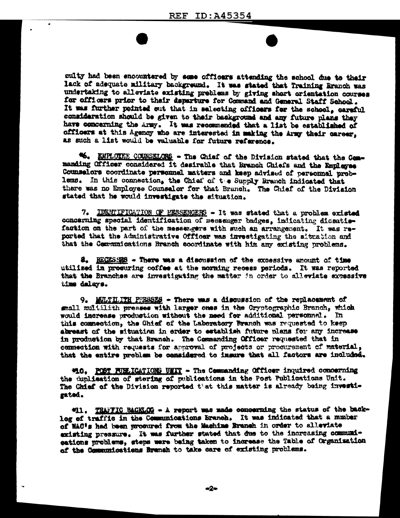culty had been encountered by some officers attending the school due to their lack of adequate military background. It was stated that Training Branch was undertaking to alleviate existing preblems by giving short orientation courses for officers prior to their departure for Command and General Staff School. It was further pointed out that in selecting officers for the school, careful consideration should be given to their background and any future plans they have concerning the army. It was recommended that a list be established of officers at this Agency who are interested in making the Army their career, as such a list would be valuable for future reference.

46. EMPLOTEE COUNSELORS - The Chief of the Division stated that the Commanding Officer considered it desirable that Branch Chiefs and the Employee Counselors coordinate personnel matters and keep advised of personnel problems. In this connection, the Chief of t e Supply Branch indicated that there was no Employee Counsalor for that Branch. The Chief of the Division stated that he would investigate the situation.

7. IDEMITFICATION OF PESSENGERS - It was stated that a problem existed concerning special identification of messenger badges, indicating disaatisfaction on the part of the messengers with such an arrangement. It was reported that the Administrative Officer was investigating the situation and that the Communications Branch coordinate with him any existing problems.

8. RECESSES - There was a discussion of the excessive amount of time utilized in procuring coffee at the morning recess periods. It was reported that the Branches are investigating the matter in order to alleviate excessive time delays.

9. MULTILITH PRESSES - There was a discussion of the replacement of mall multilith presses with larger ones in the Cryptographic Branch, which would increase production without the meed for additional personnel. In this commestion, the Chief of the Laboratory Branch was requested to keep abreast of the situation in order to establish future plans for any increase in production by that Branch. The Commanding Officer requested that in connection with requests for approval of projects or procurement of material, that the entire problem be considered to ingure that all factors are included.

410. POST FUELICATIONS UNIT - The Commanding Officer inquired concerning the duplication of stering of publications in the Post Publications Unit. The Chief of the Division reported that this matter is already being investigated.

"11. THAFFIC BACKLOG - A report was made concerning the status of the backlog of traffic in the Communications branch. It was indicated that a munber of WAC's had been prosured from the Mashine Branch in order to alleviate existing pressure. It was further stated that due to the increasing communieations problems, steps were being taken to increase the Table of Organization of the Communications Branch to take care of existing problems.